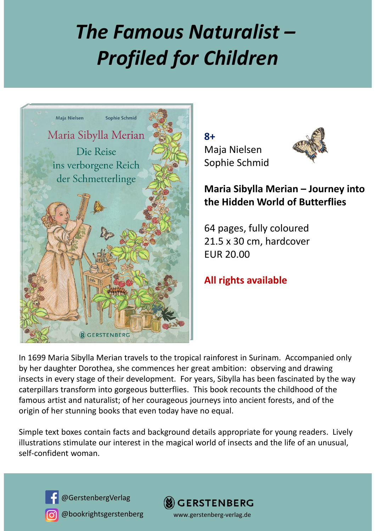## *The Famous Naturalist – Profiled for Children*



**8+** Maja Nielsen Sophie Schmid



**Maria Sibylla Merian – Journey into the Hidden World of Butterflies**

64 pages, fully coloured 21.5 x 30 cm, hardcover EUR 20.00

**All rights available**

In 1699 Maria Sibylla Merian travels to the tropical rainforest in Surinam. Accompanied only by her daughter Dorothea, she commences her great ambition: observing and drawing insects in every stage of their development. For years, Sibylla has been fascinated by the way caterpillars transform into gorgeous butterflies. This book recounts the childhood of the famous artist and naturalist; of her courageous journeys into ancient forests, and of the origin of her stunning books that even today have no equal.

Simple text boxes contain facts and background details appropriate for young readers. Lively illustrations stimulate our interest in the magical world of insects and the life of an unusual, self‐confident woman.



@GerstenbergVerlag

@bookrightsgerstenberg